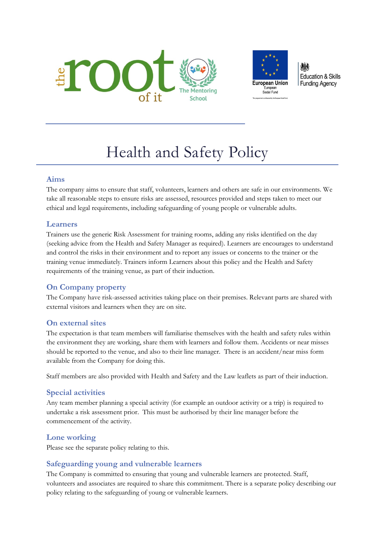



**Education & Skills Funding Agency** 

# Health and Safety Policy

#### **Aims**

The company aims to ensure that staff, volunteers, learners and others are safe in our environments. We take all reasonable steps to ensure risks are assessed, resources provided and steps taken to meet our ethical and legal requirements, including safeguarding of young people or vulnerable adults.

## **Learners**

Trainers use the generic Risk Assessment for training rooms, adding any risks identified on the day (seeking advice from the Health and Safety Manager as required). Learners are encourages to understand and control the risks in their environment and to report any issues or concerns to the trainer or the training venue immediately. Trainers inform Learners about this policy and the Health and Safety requirements of the training venue, as part of their induction.

## **On Company property**

The Company have risk-assessed activities taking place on their premises. Relevant parts are shared with external visitors and learners when they are on site.

## **On external sites**

The expectation is that team members will familiarise themselves with the health and safety rules within the environment they are working, share them with learners and follow them. Accidents or near misses should be reported to the venue, and also to their line manager. There is an accident/near miss form available from the Company for doing this.

Staff members are also provided with Health and Safety and the Law leaflets as part of their induction.

## **Special activities**

Any team member planning a special activity (for example an outdoor activity or a trip) is required to undertake a risk assessment prior. This must be authorised by their line manager before the commencement of the activity.

## **Lone working**

Please see the separate policy relating to this.

## **Safeguarding young and vulnerable learners**

The Company is committed to ensuring that young and vulnerable learners are protected. Staff, volunteers and associates are required to share this commitment. There is a separate policy describing our policy relating to the safeguarding of young or vulnerable learners.